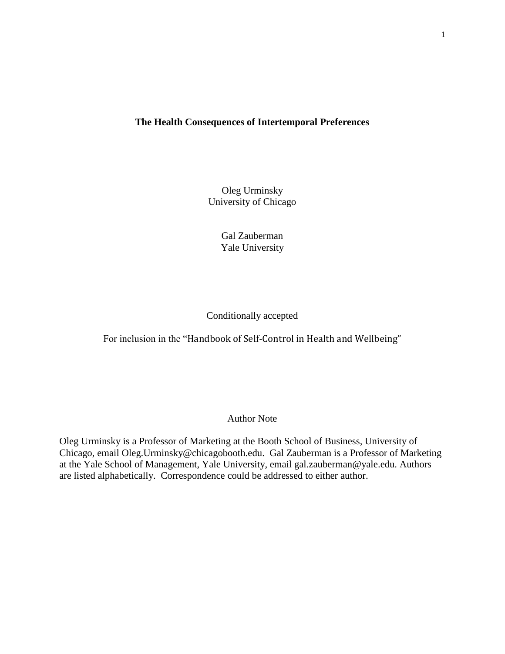## **The Health Consequences of Intertemporal Preferences**

Oleg Urminsky University of Chicago

> Gal Zauberman Yale University

# Conditionally accepted

For inclusion in the "Handbook of Self-Control in Health and Wellbeing"

# Author Note

Oleg Urminsky is a Professor of Marketing at the Booth School of Business, University of Chicago, email Oleg.Urminsky@chicagobooth.edu. Gal Zauberman is a Professor of Marketing at the Yale School of Management, Yale University, email gal.zauberman@yale.edu. Authors are listed alphabetically. Correspondence could be addressed to either author.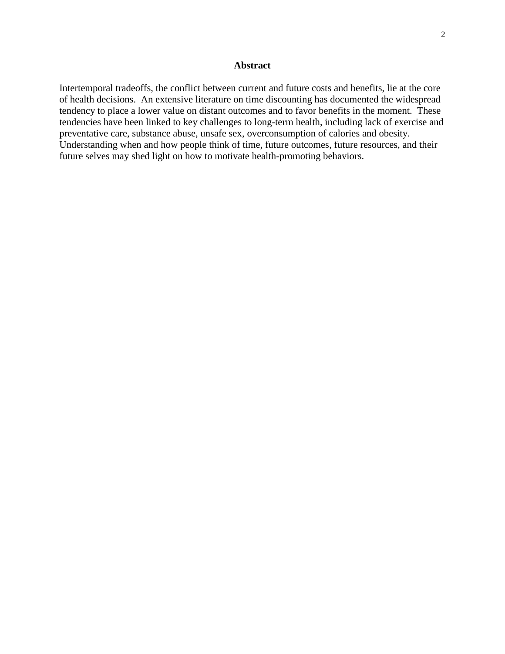## **Abstract**

Intertemporal tradeoffs, the conflict between current and future costs and benefits, lie at the core of health decisions. An extensive literature on time discounting has documented the widespread tendency to place a lower value on distant outcomes and to favor benefits in the moment. These tendencies have been linked to key challenges to long-term health, including lack of exercise and preventative care, substance abuse, unsafe sex, overconsumption of calories and obesity. Understanding when and how people think of time, future outcomes, future resources, and their future selves may shed light on how to motivate health-promoting behaviors.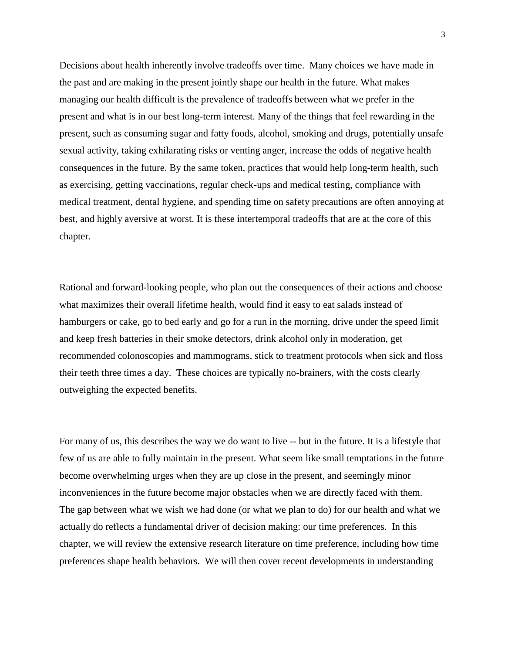Decisions about health inherently involve tradeoffs over time. Many choices we have made in the past and are making in the present jointly shape our health in the future. What makes managing our health difficult is the prevalence of tradeoffs between what we prefer in the present and what is in our best long-term interest. Many of the things that feel rewarding in the present, such as consuming sugar and fatty foods, alcohol, smoking and drugs, potentially unsafe sexual activity, taking exhilarating risks or venting anger, increase the odds of negative health consequences in the future. By the same token, practices that would help long-term health, such as exercising, getting vaccinations, regular check-ups and medical testing, compliance with medical treatment, dental hygiene, and spending time on safety precautions are often annoying at best, and highly aversive at worst. It is these intertemporal tradeoffs that are at the core of this chapter.

Rational and forward-looking people, who plan out the consequences of their actions and choose what maximizes their overall lifetime health, would find it easy to eat salads instead of hamburgers or cake, go to bed early and go for a run in the morning, drive under the speed limit and keep fresh batteries in their smoke detectors, drink alcohol only in moderation, get recommended colonoscopies and mammograms, stick to treatment protocols when sick and floss their teeth three times a day. These choices are typically no-brainers, with the costs clearly outweighing the expected benefits.

For many of us, this describes the way we do want to live -- but in the future. It is a lifestyle that few of us are able to fully maintain in the present. What seem like small temptations in the future become overwhelming urges when they are up close in the present, and seemingly minor inconveniences in the future become major obstacles when we are directly faced with them. The gap between what we wish we had done (or what we plan to do) for our health and what we actually do reflects a fundamental driver of decision making: our time preferences. In this chapter, we will review the extensive research literature on time preference, including how time preferences shape health behaviors. We will then cover recent developments in understanding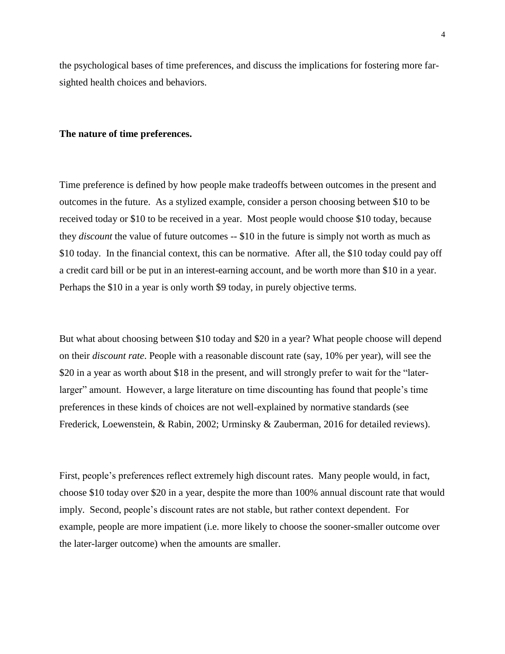the psychological bases of time preferences, and discuss the implications for fostering more farsighted health choices and behaviors.

#### **The nature of time preferences.**

Time preference is defined by how people make tradeoffs between outcomes in the present and outcomes in the future. As a stylized example, consider a person choosing between \$10 to be received today or \$10 to be received in a year. Most people would choose \$10 today, because they *discount* the value of future outcomes -- \$10 in the future is simply not worth as much as \$10 today. In the financial context, this can be normative. After all, the \$10 today could pay off a credit card bill or be put in an interest-earning account, and be worth more than \$10 in a year. Perhaps the \$10 in a year is only worth \$9 today, in purely objective terms.

But what about choosing between \$10 today and \$20 in a year? What people choose will depend on their *discount rate*. People with a reasonable discount rate (say, 10% per year), will see the \$20 in a year as worth about \$18 in the present, and will strongly prefer to wait for the "laterlarger" amount. However, a large literature on time discounting has found that people's time preferences in these kinds of choices are not well-explained by normative standards (see Frederick, Loewenstein, & Rabin, 2002; Urminsky & Zauberman, 2016 for detailed reviews).

First, people's preferences reflect extremely high discount rates. Many people would, in fact, choose \$10 today over \$20 in a year, despite the more than 100% annual discount rate that would imply. Second, people's discount rates are not stable, but rather context dependent. For example, people are more impatient (i.e. more likely to choose the sooner-smaller outcome over the later-larger outcome) when the amounts are smaller.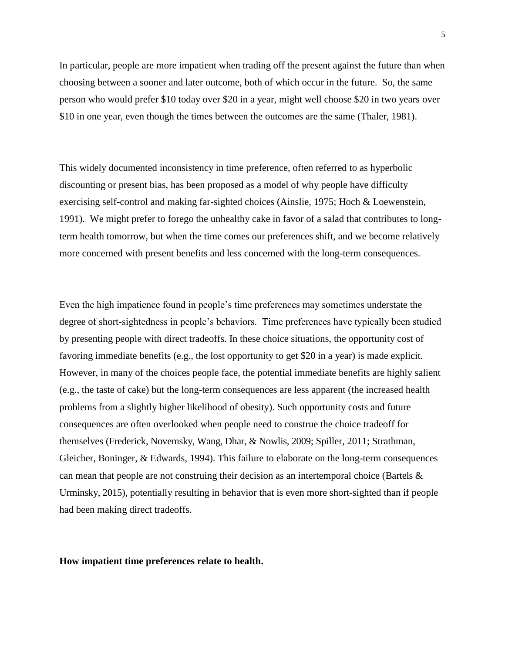In particular, people are more impatient when trading off the present against the future than when choosing between a sooner and later outcome, both of which occur in the future. So, the same person who would prefer \$10 today over \$20 in a year, might well choose \$20 in two years over \$10 in one year, even though the times between the outcomes are the same (Thaler, 1981).

This widely documented inconsistency in time preference, often referred to as hyperbolic discounting or present bias, has been proposed as a model of why people have difficulty exercising self-control and making far-sighted choices (Ainslie, 1975; Hoch & Loewenstein, 1991). We might prefer to forego the unhealthy cake in favor of a salad that contributes to longterm health tomorrow, but when the time comes our preferences shift, and we become relatively more concerned with present benefits and less concerned with the long-term consequences.

Even the high impatience found in people's time preferences may sometimes understate the degree of short-sightedness in people's behaviors. Time preferences have typically been studied by presenting people with direct tradeoffs. In these choice situations, the opportunity cost of favoring immediate benefits (e.g., the lost opportunity to get \$20 in a year) is made explicit. However, in many of the choices people face, the potential immediate benefits are highly salient (e.g., the taste of cake) but the long-term consequences are less apparent (the increased health problems from a slightly higher likelihood of obesity). Such opportunity costs and future consequences are often overlooked when people need to construe the choice tradeoff for themselves (Frederick, Novemsky, Wang, Dhar, & Nowlis, 2009; Spiller, 2011; Strathman, Gleicher, Boninger, & Edwards, 1994). This failure to elaborate on the long-term consequences can mean that people are not construing their decision as an intertemporal choice (Bartels  $\&$ Urminsky, 2015), potentially resulting in behavior that is even more short-sighted than if people had been making direct tradeoffs.

## **How impatient time preferences relate to health.**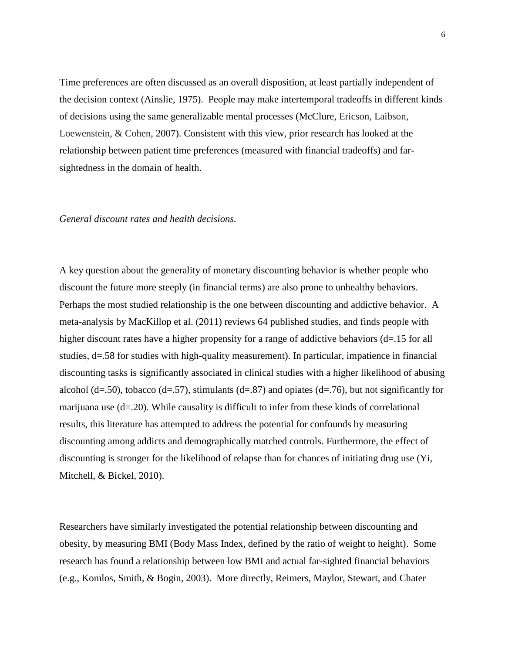Time preferences are often discussed as an overall disposition, at least partially independent of the decision context (Ainslie, 1975). People may make intertemporal tradeoffs in different kinds of decisions using the same generalizable mental processes (McClure, Ericson, Laibson, Loewenstein, & Cohen, 2007). Consistent with this view, prior research has looked at the relationship between patient time preferences (measured with financial tradeoffs) and farsightedness in the domain of health.

#### *General discount rates and health decisions.*

A key question about the generality of monetary discounting behavior is whether people who discount the future more steeply (in financial terms) are also prone to unhealthy behaviors. Perhaps the most studied relationship is the one between discounting and addictive behavior. A meta-analysis by MacKillop et al. (2011) reviews 64 published studies, and finds people with higher discount rates have a higher propensity for a range of addictive behaviors (d=.15 for all studies, d=.58 for studies with high-quality measurement). In particular, impatience in financial discounting tasks is significantly associated in clinical studies with a higher likelihood of abusing alcohol (d=.50), tobacco (d=.57), stimulants (d=.87) and opiates (d=.76), but not significantly for marijuana use  $(d=20)$ . While causality is difficult to infer from these kinds of correlational results, this literature has attempted to address the potential for confounds by measuring discounting among addicts and demographically matched controls. Furthermore, the effect of discounting is stronger for the likelihood of relapse than for chances of initiating drug use (Yi, Mitchell, & Bickel, 2010).

Researchers have similarly investigated the potential relationship between discounting and obesity, by measuring BMI (Body Mass Index, defined by the ratio of weight to height). Some research has found a relationship between low BMI and actual far-sighted financial behaviors (e.g., Komlos, Smith, & Bogin, 2003). More directly, Reimers, Maylor, Stewart, and Chater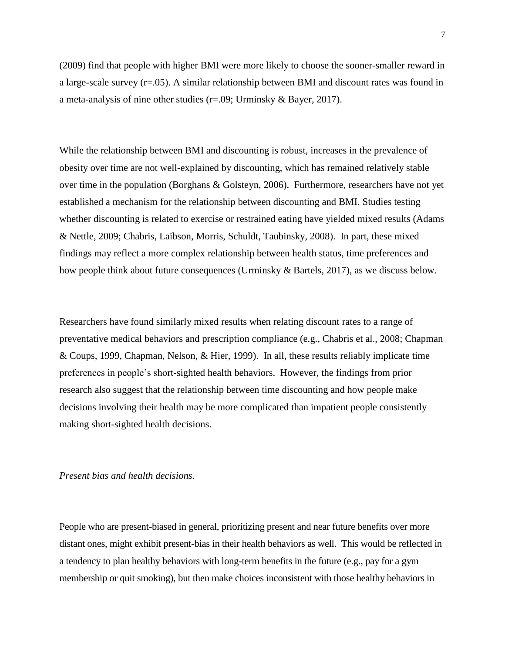(2009) find that people with higher BMI were more likely to choose the sooner-smaller reward in a large-scale survey (r=.05). A similar relationship between BMI and discount rates was found in a meta-analysis of nine other studies (r=.09; Urminsky & Bayer, 2017).

While the relationship between BMI and discounting is robust, increases in the prevalence of obesity over time are not well-explained by discounting, which has remained relatively stable over time in the population (Borghans & Golsteyn, 2006). Furthermore, researchers have not yet established a mechanism for the relationship between discounting and BMI. Studies testing whether discounting is related to exercise or restrained eating have yielded mixed results (Adams & Nettle, 2009; Chabris, Laibson, Morris, Schuldt, Taubinsky, 2008). In part, these mixed findings may reflect a more complex relationship between health status, time preferences and how people think about future consequences (Urminsky & Bartels, 2017), as we discuss below.

Researchers have found similarly mixed results when relating discount rates to a range of preventative medical behaviors and prescription compliance (e.g., Chabris et al., 2008; Chapman & Coups, 1999, Chapman, Nelson, & Hier, 1999). In all, these results reliably implicate time preferences in people's short-sighted health behaviors. However, the findings from prior research also suggest that the relationship between time discounting and how people make decisions involving their health may be more complicated than impatient people consistently making short-sighted health decisions.

#### *Present bias and health decisions.*

People who are present-biased in general, prioritizing present and near future benefits over more distant ones, might exhibit present-bias in their health behaviors as well. This would be reflected in a tendency to plan healthy behaviors with long-term benefits in the future (e.g., pay for a gym membership or quit smoking), but then make choices inconsistent with those healthy behaviors in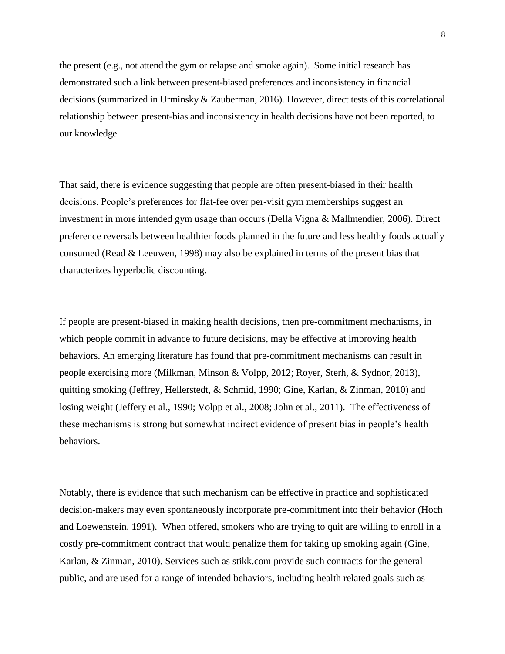the present (e.g., not attend the gym or relapse and smoke again). Some initial research has demonstrated such a link between present-biased preferences and inconsistency in financial decisions (summarized in Urminsky & Zauberman, 2016). However, direct tests of this correlational relationship between present-bias and inconsistency in health decisions have not been reported, to our knowledge.

That said, there is evidence suggesting that people are often present-biased in their health decisions. People's preferences for flat-fee over per-visit gym memberships suggest an investment in more intended gym usage than occurs (Della Vigna & Mallmendier, 2006). Direct preference reversals between healthier foods planned in the future and less healthy foods actually consumed (Read  $&$  Leeuwen, 1998) may also be explained in terms of the present bias that characterizes hyperbolic discounting.

If people are present-biased in making health decisions, then pre-commitment mechanisms, in which people commit in advance to future decisions, may be effective at improving health behaviors. An emerging literature has found that pre-commitment mechanisms can result in people exercising more (Milkman, Minson & Volpp, 2012; Royer, Sterh, & Sydnor, 2013), quitting smoking (Jeffrey, Hellerstedt, & Schmid, 1990; Gine, Karlan, & Zinman, 2010) and losing weight (Jeffery et al., 1990; Volpp et al., 2008; John et al., 2011). The effectiveness of these mechanisms is strong but somewhat indirect evidence of present bias in people's health behaviors.

Notably, there is evidence that such mechanism can be effective in practice and sophisticated decision-makers may even spontaneously incorporate pre-commitment into their behavior (Hoch and Loewenstein, 1991). When offered, smokers who are trying to quit are willing to enroll in a costly pre-commitment contract that would penalize them for taking up smoking again (Gine, Karlan, & Zinman, 2010). Services such as stikk.com provide such contracts for the general public, and are used for a range of intended behaviors, including health related goals such as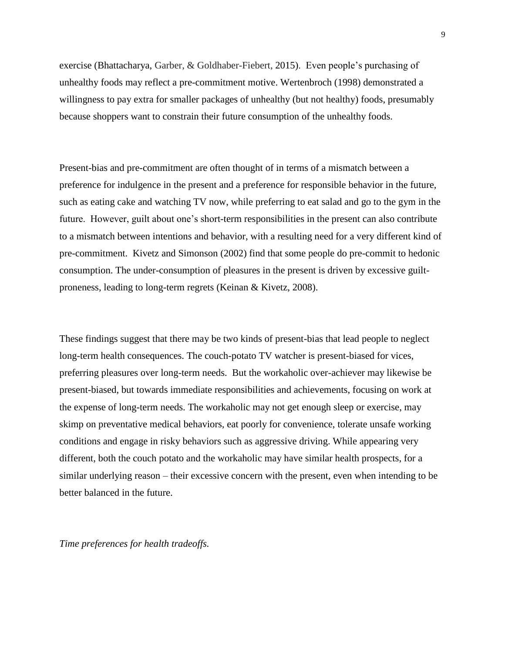exercise (Bhattacharya, Garber, & Goldhaber-Fiebert, 2015). Even people's purchasing of unhealthy foods may reflect a pre-commitment motive. Wertenbroch (1998) demonstrated a willingness to pay extra for smaller packages of unhealthy (but not healthy) foods, presumably because shoppers want to constrain their future consumption of the unhealthy foods.

Present-bias and pre-commitment are often thought of in terms of a mismatch between a preference for indulgence in the present and a preference for responsible behavior in the future, such as eating cake and watching TV now, while preferring to eat salad and go to the gym in the future. However, guilt about one's short-term responsibilities in the present can also contribute to a mismatch between intentions and behavior, with a resulting need for a very different kind of pre-commitment. Kivetz and Simonson (2002) find that some people do pre-commit to hedonic consumption. The under-consumption of pleasures in the present is driven by excessive guiltproneness, leading to long-term regrets (Keinan & Kivetz, 2008).

These findings suggest that there may be two kinds of present-bias that lead people to neglect long-term health consequences. The couch-potato TV watcher is present-biased for vices, preferring pleasures over long-term needs. But the workaholic over-achiever may likewise be present-biased, but towards immediate responsibilities and achievements, focusing on work at the expense of long-term needs. The workaholic may not get enough sleep or exercise, may skimp on preventative medical behaviors, eat poorly for convenience, tolerate unsafe working conditions and engage in risky behaviors such as aggressive driving. While appearing very different, both the couch potato and the workaholic may have similar health prospects, for a similar underlying reason – their excessive concern with the present, even when intending to be better balanced in the future.

*Time preferences for health tradeoffs.*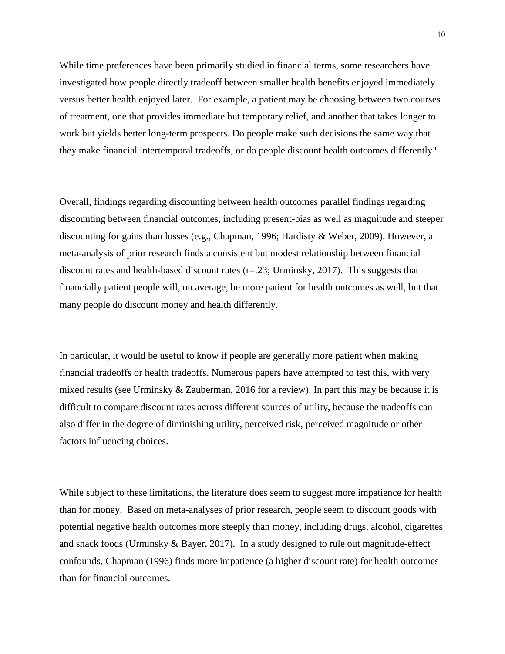While time preferences have been primarily studied in financial terms, some researchers have investigated how people directly tradeoff between smaller health benefits enjoyed immediately versus better health enjoyed later. For example, a patient may be choosing between two courses of treatment, one that provides immediate but temporary relief, and another that takes longer to work but yields better long-term prospects. Do people make such decisions the same way that they make financial intertemporal tradeoffs, or do people discount health outcomes differently?

Overall, findings regarding discounting between health outcomes parallel findings regarding discounting between financial outcomes, including present-bias as well as magnitude and steeper discounting for gains than losses (e.g., Chapman, 1996; Hardisty & Weber, 2009). However, a meta-analysis of prior research finds a consistent but modest relationship between financial discount rates and health-based discount rates (r=.23; Urminsky, 2017). This suggests that financially patient people will, on average, be more patient for health outcomes as well, but that many people do discount money and health differently.

In particular, it would be useful to know if people are generally more patient when making financial tradeoffs or health tradeoffs. Numerous papers have attempted to test this, with very mixed results (see Urminsky & Zauberman, 2016 for a review). In part this may be because it is difficult to compare discount rates across different sources of utility, because the tradeoffs can also differ in the degree of diminishing utility, perceived risk, perceived magnitude or other factors influencing choices.

While subject to these limitations, the literature does seem to suggest more impatience for health than for money. Based on meta-analyses of prior research, people seem to discount goods with potential negative health outcomes more steeply than money, including drugs, alcohol, cigarettes and snack foods (Urminsky  $\&$  Bayer, 2017). In a study designed to rule out magnitude-effect confounds, Chapman (1996) finds more impatience (a higher discount rate) for health outcomes than for financial outcomes.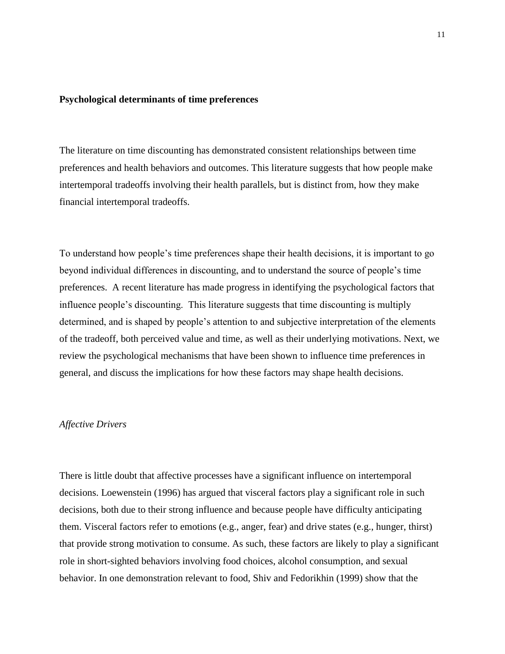#### **Psychological determinants of time preferences**

The literature on time discounting has demonstrated consistent relationships between time preferences and health behaviors and outcomes. This literature suggests that how people make intertemporal tradeoffs involving their health parallels, but is distinct from, how they make financial intertemporal tradeoffs.

To understand how people's time preferences shape their health decisions, it is important to go beyond individual differences in discounting, and to understand the source of people's time preferences. A recent literature has made progress in identifying the psychological factors that influence people's discounting. This literature suggests that time discounting is multiply determined, and is shaped by people's attention to and subjective interpretation of the elements of the tradeoff, both perceived value and time, as well as their underlying motivations. Next, we review the psychological mechanisms that have been shown to influence time preferences in general, and discuss the implications for how these factors may shape health decisions.

#### *Affective Drivers*

There is little doubt that affective processes have a significant influence on intertemporal decisions. Loewenstein (1996) has argued that visceral factors play a significant role in such decisions, both due to their strong influence and because people have difficulty anticipating them. Visceral factors refer to emotions (e.g., anger, fear) and drive states (e.g., hunger, thirst) that provide strong motivation to consume. As such, these factors are likely to play a significant role in short-sighted behaviors involving food choices, alcohol consumption, and sexual behavior. In one demonstration relevant to food, Shiv and Fedorikhin (1999) show that the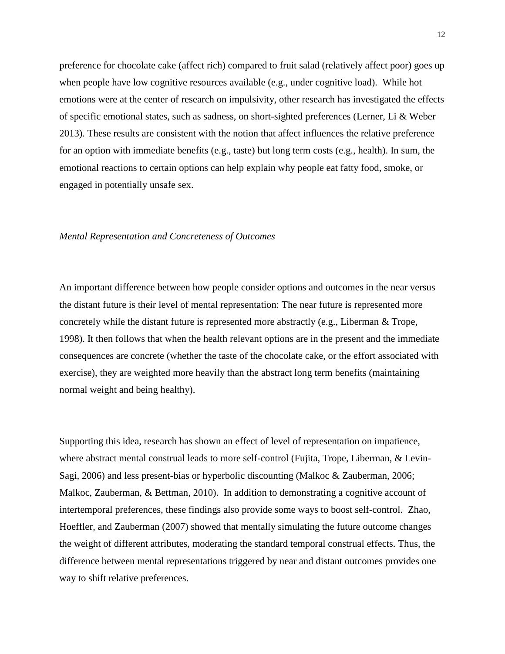preference for chocolate cake (affect rich) compared to fruit salad (relatively affect poor) goes up when people have low cognitive resources available (e.g., under cognitive load). While hot emotions were at the center of research on impulsivity, other research has investigated the effects of specific emotional states, such as sadness, on short-sighted preferences (Lerner, Li & Weber 2013). These results are consistent with the notion that affect influences the relative preference for an option with immediate benefits (e.g., taste) but long term costs (e.g., health). In sum, the emotional reactions to certain options can help explain why people eat fatty food, smoke, or engaged in potentially unsafe sex.

#### *Mental Representation and Concreteness of Outcomes*

An important difference between how people consider options and outcomes in the near versus the distant future is their level of mental representation: The near future is represented more concretely while the distant future is represented more abstractly (e.g., Liberman & Trope, 1998). It then follows that when the health relevant options are in the present and the immediate consequences are concrete (whether the taste of the chocolate cake, or the effort associated with exercise), they are weighted more heavily than the abstract long term benefits (maintaining normal weight and being healthy).

Supporting this idea, research has shown an effect of level of representation on impatience, where abstract mental construal leads to more self-control (Fujita, Trope, Liberman, & Levin-Sagi, 2006) and less present-bias or hyperbolic discounting (Malkoc & Zauberman, 2006; Malkoc, Zauberman, & Bettman, 2010). In addition to demonstrating a cognitive account of intertemporal preferences, these findings also provide some ways to boost self-control. Zhao, Hoeffler, and Zauberman (2007) showed that mentally simulating the future outcome changes the weight of different attributes, moderating the standard temporal construal effects. Thus, the difference between mental representations triggered by near and distant outcomes provides one way to shift relative preferences.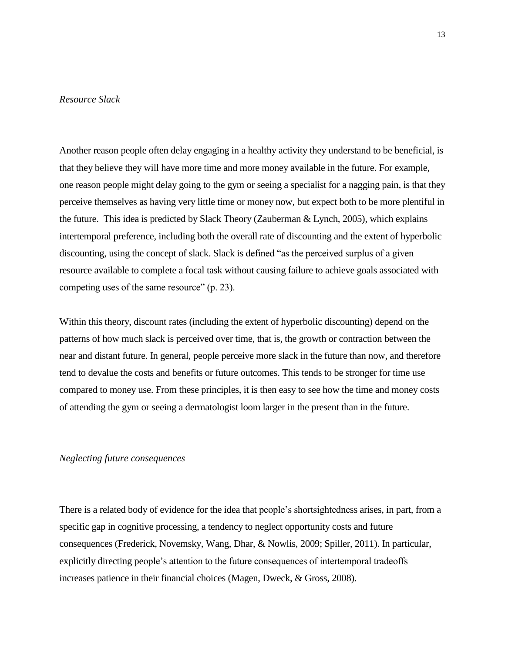### *Resource Slack*

Another reason people often delay engaging in a healthy activity they understand to be beneficial, is that they believe they will have more time and more money available in the future. For example, one reason people might delay going to the gym or seeing a specialist for a nagging pain, is that they perceive themselves as having very little time or money now, but expect both to be more plentiful in the future. This idea is predicted by Slack Theory (Zauberman & Lynch, 2005), which explains intertemporal preference, including both the overall rate of discounting and the extent of hyperbolic discounting, using the concept of slack. Slack is defined "as the perceived surplus of a given resource available to complete a focal task without causing failure to achieve goals associated with competing uses of the same resource" (p. 23).

Within this theory, discount rates (including the extent of hyperbolic discounting) depend on the patterns of how much slack is perceived over time, that is, the growth or contraction between the near and distant future. In general, people perceive more slack in the future than now, and therefore tend to devalue the costs and benefits or future outcomes. This tends to be stronger for time use compared to money use. From these principles, it is then easy to see how the time and money costs of attending the gym or seeing a dermatologist loom larger in the present than in the future.

### *Neglecting future consequences*

There is a related body of evidence for the idea that people's shortsightedness arises, in part, from a specific gap in cognitive processing, a tendency to neglect opportunity costs and future consequences (Frederick, Novemsky, Wang, Dhar, & Nowlis, 2009; Spiller, 2011). In particular, explicitly directing people's attention to the future consequences of intertemporal tradeoffs increases patience in their financial choices (Magen, Dweck, & Gross, 2008).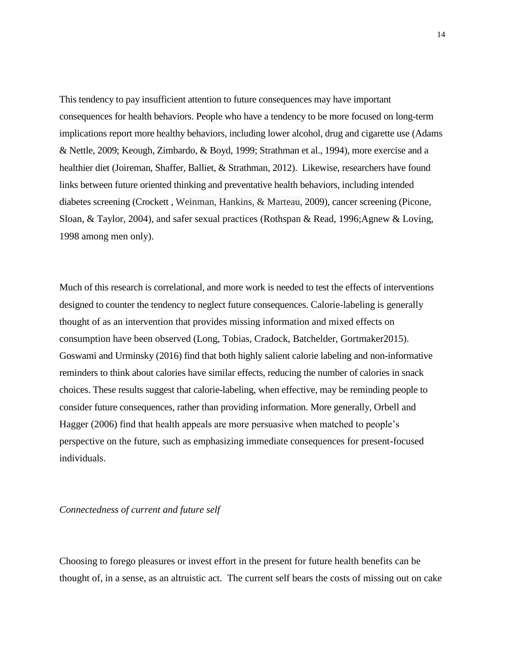This tendency to pay insufficient attention to future consequences may have important consequences for health behaviors. People who have a tendency to be more focused on long-term implications report more healthy behaviors, including lower alcohol, drug and cigarette use (Adams & Nettle, 2009; Keough, Zimbardo, & Boyd, 1999; Strathman et al., 1994), more exercise and a healthier diet (Joireman, Shaffer, Balliet, & Strathman, 2012). Likewise, researchers have found links between future oriented thinking and preventative health behaviors, including intended diabetes screening (Crockett , Weinman, Hankins, & Marteau, 2009), cancer screening (Picone, Sloan, & Taylor, 2004), and safer sexual practices (Rothspan & Read, 1996;Agnew & Loving, 1998 among men only).

Much of this research is correlational, and more work is needed to test the effects of interventions designed to counter the tendency to neglect future consequences. Calorie-labeling is generally thought of as an intervention that provides missing information and mixed effects on consumption have been observed (Long, Tobias, Cradock, Batchelder, Gortmaker2015). Goswami and Urminsky (2016) find that both highly salient calorie labeling and non-informative reminders to think about calories have similar effects, reducing the number of calories in snack choices. These results suggest that calorie-labeling, when effective, may be reminding people to consider future consequences, rather than providing information. More generally, Orbell and Hagger (2006) find that health appeals are more persuasive when matched to people's perspective on the future, such as emphasizing immediate consequences for present-focused individuals.

#### *Connectedness of current and future self*

Choosing to forego pleasures or invest effort in the present for future health benefits can be thought of, in a sense, as an altruistic act. The current self bears the costs of missing out on cake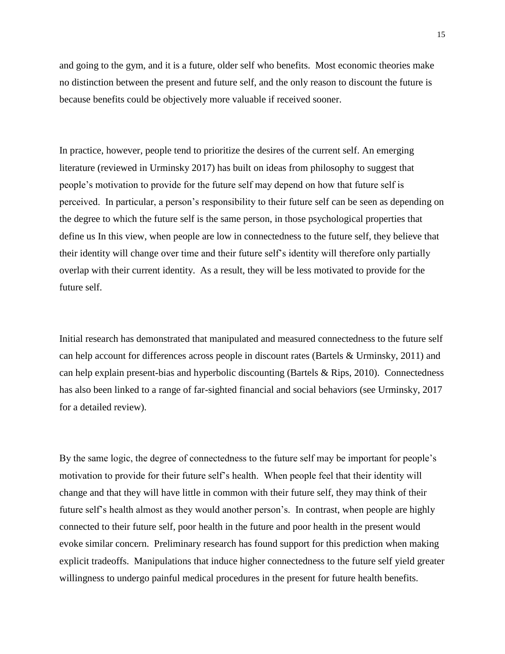and going to the gym, and it is a future, older self who benefits. Most economic theories make no distinction between the present and future self, and the only reason to discount the future is because benefits could be objectively more valuable if received sooner.

In practice, however, people tend to prioritize the desires of the current self. An emerging literature (reviewed in Urminsky 2017) has built on ideas from philosophy to suggest that people's motivation to provide for the future self may depend on how that future self is perceived. In particular, a person's responsibility to their future self can be seen as depending on the degree to which the future self is the same person, in those psychological properties that define us In this view, when people are low in connectedness to the future self, they believe that their identity will change over time and their future self's identity will therefore only partially overlap with their current identity. As a result, they will be less motivated to provide for the future self.

Initial research has demonstrated that manipulated and measured connectedness to the future self can help account for differences across people in discount rates (Bartels & Urminsky, 2011) and can help explain present-bias and hyperbolic discounting (Bartels & Rips, 2010). Connectedness has also been linked to a range of far-sighted financial and social behaviors (see Urminsky, 2017 for a detailed review).

By the same logic, the degree of connectedness to the future self may be important for people's motivation to provide for their future self's health. When people feel that their identity will change and that they will have little in common with their future self, they may think of their future self's health almost as they would another person's. In contrast, when people are highly connected to their future self, poor health in the future and poor health in the present would evoke similar concern. Preliminary research has found support for this prediction when making explicit tradeoffs. Manipulations that induce higher connectedness to the future self yield greater willingness to undergo painful medical procedures in the present for future health benefits.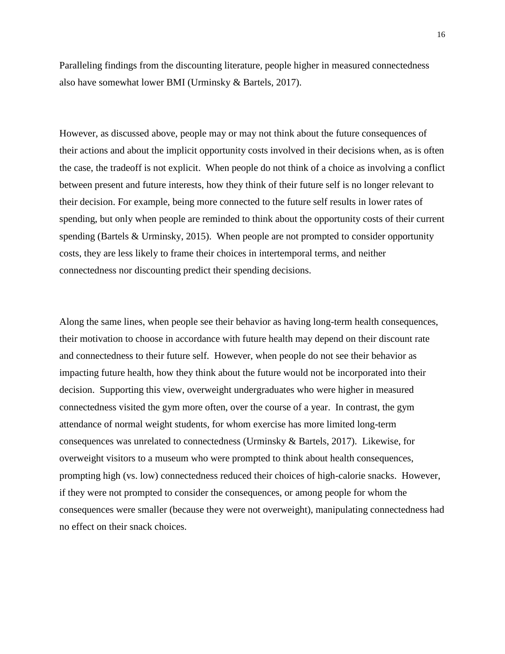Paralleling findings from the discounting literature, people higher in measured connectedness also have somewhat lower BMI (Urminsky & Bartels, 2017).

However, as discussed above, people may or may not think about the future consequences of their actions and about the implicit opportunity costs involved in their decisions when, as is often the case, the tradeoff is not explicit. When people do not think of a choice as involving a conflict between present and future interests, how they think of their future self is no longer relevant to their decision. For example, being more connected to the future self results in lower rates of spending, but only when people are reminded to think about the opportunity costs of their current spending (Bartels & Urminsky, 2015). When people are not prompted to consider opportunity costs, they are less likely to frame their choices in intertemporal terms, and neither connectedness nor discounting predict their spending decisions.

Along the same lines, when people see their behavior as having long-term health consequences, their motivation to choose in accordance with future health may depend on their discount rate and connectedness to their future self. However, when people do not see their behavior as impacting future health, how they think about the future would not be incorporated into their decision. Supporting this view, overweight undergraduates who were higher in measured connectedness visited the gym more often, over the course of a year. In contrast, the gym attendance of normal weight students, for whom exercise has more limited long-term consequences was unrelated to connectedness (Urminsky & Bartels, 2017). Likewise, for overweight visitors to a museum who were prompted to think about health consequences, prompting high (vs. low) connectedness reduced their choices of high-calorie snacks. However, if they were not prompted to consider the consequences, or among people for whom the consequences were smaller (because they were not overweight), manipulating connectedness had no effect on their snack choices.

16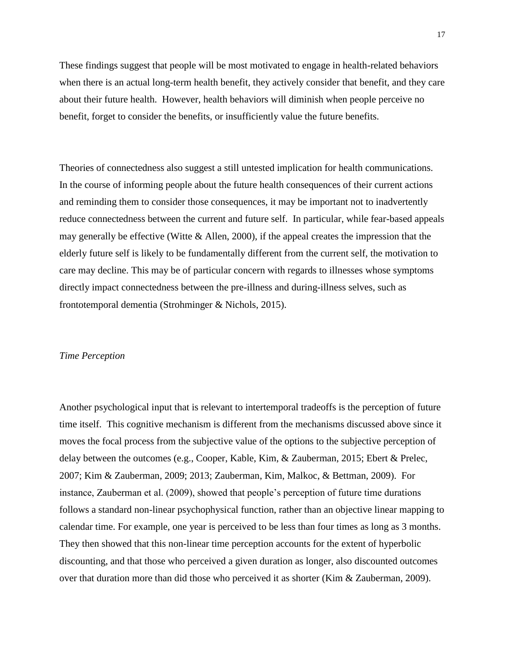These findings suggest that people will be most motivated to engage in health-related behaviors when there is an actual long-term health benefit, they actively consider that benefit, and they care about their future health. However, health behaviors will diminish when people perceive no benefit, forget to consider the benefits, or insufficiently value the future benefits.

Theories of connectedness also suggest a still untested implication for health communications. In the course of informing people about the future health consequences of their current actions and reminding them to consider those consequences, it may be important not to inadvertently reduce connectedness between the current and future self. In particular, while fear-based appeals may generally be effective (Witte  $\&$  Allen, 2000), if the appeal creates the impression that the elderly future self is likely to be fundamentally different from the current self, the motivation to care may decline. This may be of particular concern with regards to illnesses whose symptoms directly impact connectedness between the pre-illness and during-illness selves, such as frontotemporal dementia (Strohminger & Nichols, 2015).

#### *Time Perception*

Another psychological input that is relevant to intertemporal tradeoffs is the perception of future time itself. This cognitive mechanism is different from the mechanisms discussed above since it moves the focal process from the subjective value of the options to the subjective perception of delay between the outcomes (e.g., Cooper, Kable, Kim, & Zauberman, 2015; Ebert & Prelec, 2007; Kim & Zauberman, 2009; 2013; Zauberman, Kim, Malkoc, & Bettman, 2009). For instance, Zauberman et al. (2009), showed that people's perception of future time durations follows a standard non-linear psychophysical function, rather than an objective linear mapping to calendar time. For example, one year is perceived to be less than four times as long as 3 months. They then showed that this non-linear time perception accounts for the extent of hyperbolic discounting, and that those who perceived a given duration as longer, also discounted outcomes over that duration more than did those who perceived it as shorter (Kim & Zauberman, 2009).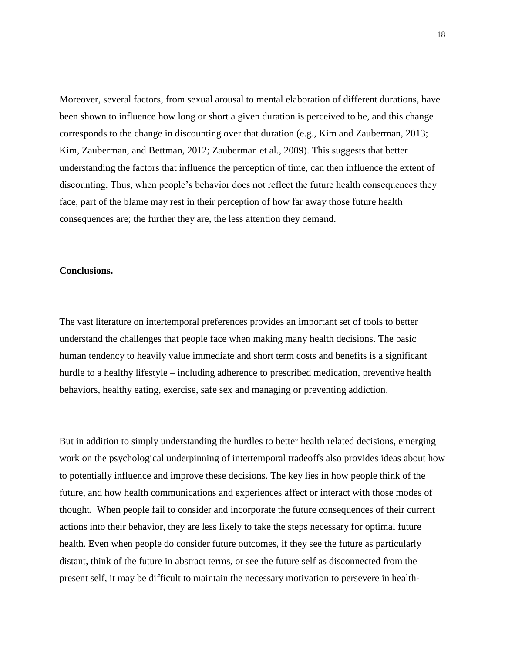Moreover, several factors, from sexual arousal to mental elaboration of different durations, have been shown to influence how long or short a given duration is perceived to be, and this change corresponds to the change in discounting over that duration (e.g., Kim and Zauberman, 2013; Kim, Zauberman, and Bettman, 2012; Zauberman et al., 2009). This suggests that better understanding the factors that influence the perception of time, can then influence the extent of discounting. Thus, when people's behavior does not reflect the future health consequences they face, part of the blame may rest in their perception of how far away those future health consequences are; the further they are, the less attention they demand.

#### **Conclusions.**

The vast literature on intertemporal preferences provides an important set of tools to better understand the challenges that people face when making many health decisions. The basic human tendency to heavily value immediate and short term costs and benefits is a significant hurdle to a healthy lifestyle – including adherence to prescribed medication, preventive health behaviors, healthy eating, exercise, safe sex and managing or preventing addiction.

But in addition to simply understanding the hurdles to better health related decisions, emerging work on the psychological underpinning of intertemporal tradeoffs also provides ideas about how to potentially influence and improve these decisions. The key lies in how people think of the future, and how health communications and experiences affect or interact with those modes of thought. When people fail to consider and incorporate the future consequences of their current actions into their behavior, they are less likely to take the steps necessary for optimal future health. Even when people do consider future outcomes, if they see the future as particularly distant, think of the future in abstract terms, or see the future self as disconnected from the present self, it may be difficult to maintain the necessary motivation to persevere in health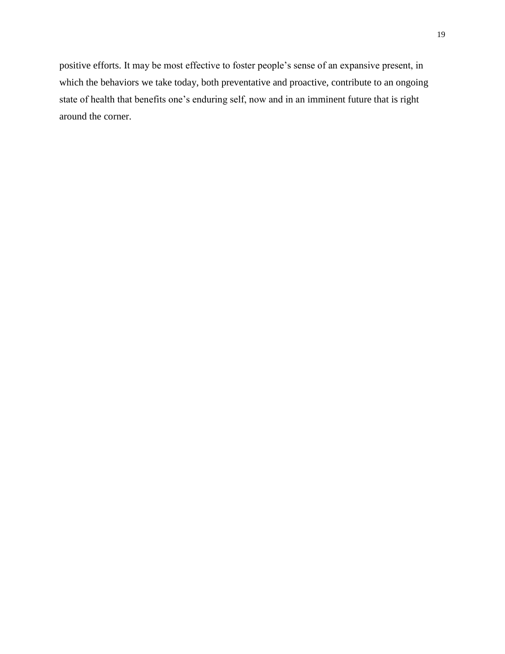positive efforts. It may be most effective to foster people's sense of an expansive present, in which the behaviors we take today, both preventative and proactive, contribute to an ongoing state of health that benefits one's enduring self, now and in an imminent future that is right around the corner.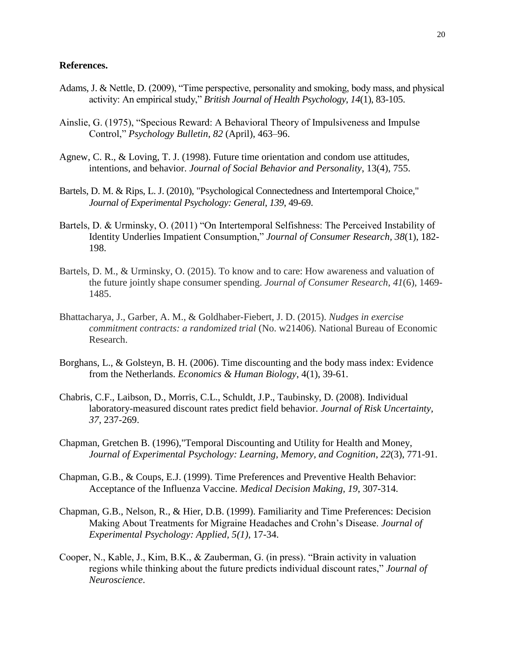#### **References.**

- Adams, J. & Nettle, D. (2009), "Time perspective, personality and smoking, body mass, and physical activity: An empirical study," *British Journal of Health Psychology*, *14*(1), 83-105.
- Ainslie, G. (1975), "Specious Reward: A Behavioral Theory of Impulsiveness and Impulse Control," *Psychology Bulletin*, *82* (April), 463–96.
- Agnew, C. R., & Loving, T. J. (1998). Future time orientation and condom use attitudes, intentions, and behavior. *Journal of Social Behavior and Personality*, 13(4), 755.
- Bartels, D. M. & Rips, L. J. (2010), "Psychological Connectedness and Intertemporal Choice," *Journal of Experimental Psychology: General*, *139*, 49-69.
- Bartels, D. & Urminsky, O. (2011) "On Intertemporal Selfishness: The Perceived Instability of Identity Underlies Impatient Consumption," *Journal of Consumer Research, 38*(1), 182- 198.
- Bartels, D. M., & Urminsky, O. (2015). To know and to care: How awareness and valuation of the future jointly shape consumer spending. *Journal of Consumer Research*, *41*(6), 1469- 1485.
- Bhattacharya, J., Garber, A. M., & Goldhaber-Fiebert, J. D. (2015). *Nudges in exercise commitment contracts: a randomized trial* (No. w21406). National Bureau of Economic Research.
- Borghans, L., & Golsteyn, B. H. (2006). Time discounting and the body mass index: Evidence from the Netherlands. *Economics & Human Biology*, 4(1), 39-61.
- Chabris, C.F., Laibson, D., Morris, C.L., Schuldt, J.P., Taubinsky, D. (2008). Individual laboratory-measured discount rates predict field behavior. *Journal of Risk Uncertainty, 37*, 237-269.
- Chapman, Gretchen B. (1996),"Temporal Discounting and Utility for Health and Money, *Journal of Experimental Psychology: Learning, Memory, and Cognition*, *22*(3), 771-91.
- Chapman, G.B., & Coups, E.J. (1999). Time Preferences and Preventive Health Behavior: Acceptance of the Influenza Vaccine. *Medical Decision Making, 19*, 307-314.
- Chapman, G.B., Nelson, R., & Hier, D.B. (1999). Familiarity and Time Preferences: Decision Making About Treatments for Migraine Headaches and Crohn's Disease. *Journal of Experimental Psychology: Applied, 5(1)*, 17-34.
- Cooper, N., Kable, J., Kim, B.K., & Zauberman, G. (in press). "Brain activity in valuation regions while thinking about the future predicts individual discount rates," *Journal of Neuroscience*.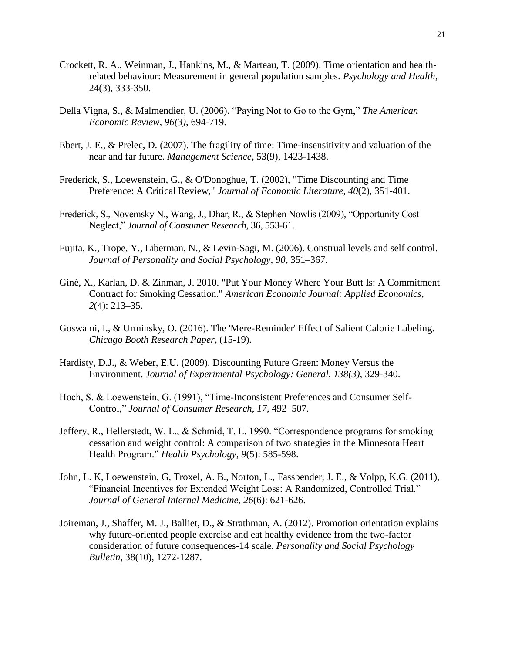- Crockett, R. A., Weinman, J., Hankins, M., & Marteau, T. (2009). Time orientation and healthrelated behaviour: Measurement in general population samples. *Psychology and Health*, 24(3), 333-350.
- Della Vigna, S., & Malmendier, U. (2006). "Paying Not to Go to the Gym," *The American Economic Review, 96(3)*, 694-719.
- Ebert, J. E., & Prelec, D. (2007). The fragility of time: Time-insensitivity and valuation of the near and far future. *Management Science*, 53(9), 1423-1438.
- Frederick, S., Loewenstein, G., & O'Donoghue, T. (2002), "Time Discounting and Time Preference: A Critical Review," *Journal of Economic Literature*, *40*(2), 351-401.
- Frederick, S., Novemsky N., Wang, J., Dhar, R., & Stephen Nowlis (2009), "Opportunity Cost Neglect," *Journal of Consumer Research*, 36, 553-61.
- Fujita, K., Trope, Y., Liberman, N., & Levin-Sagi, M. (2006). Construal levels and self control. *Journal of Personality and Social Psychology*, *90*, 351–367.
- Giné, X., Karlan, D. & Zinman, J. 2010. "Put Your Money Where Your Butt Is: A Commitment Contract for Smoking Cessation." *American Economic Journal: Applied Economics*, *2*(4): 213–35.
- Goswami, I., & Urminsky, O. (2016). The 'Mere-Reminder' Effect of Salient Calorie Labeling. *Chicago Booth Research Paper*, (15-19).
- Hardisty, D.J., & Weber, E.U. (2009). Discounting Future Green: Money Versus the Environment. *Journal of Experimental Psychology: General, 138(3)*, 329-340.
- Hoch, S. & Loewenstein, G. (1991), "Time-Inconsistent Preferences and Consumer Self-Control," *Journal of Consumer Research*, *17*, 492–507.
- Jeffery, R., Hellerstedt, W. L., & Schmid, T. L. 1990. "Correspondence programs for smoking cessation and weight control: A comparison of two strategies in the Minnesota Heart Health Program." *Health Psychology*, *9*(5): 585-598.
- John, L. K, Loewenstein, G, Troxel, A. B., Norton, L., Fassbender, J. E., & Volpp, K.G. (2011), "Financial Incentives for Extended Weight Loss: A Randomized, Controlled Trial." *Journal of General Internal Medicine*, *26*(6): 621-626.
- Joireman, J., Shaffer, M. J., Balliet, D., & Strathman, A. (2012). Promotion orientation explains why future-oriented people exercise and eat healthy evidence from the two-factor consideration of future consequences-14 scale. *Personality and Social Psychology Bulletin*, 38(10), 1272-1287.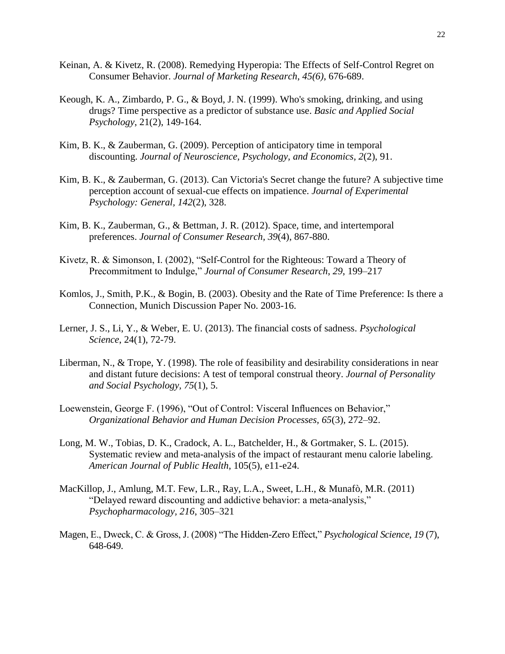- Keinan, A. & Kivetz, R. (2008). Remedying Hyperopia: The Effects of Self-Control Regret on Consumer Behavior. *Journal of Marketing Research*, *45(6)*, 676-689.
- Keough, K. A., Zimbardo, P. G., & Boyd, J. N. (1999). Who's smoking, drinking, and using drugs? Time perspective as a predictor of substance use. *Basic and Applied Social Psychology*, 21(2), 149-164.
- Kim, B. K., & Zauberman, G. (2009). Perception of anticipatory time in temporal discounting. *Journal of Neuroscience, Psychology, and Economics, 2*(2), 91.
- Kim, B. K., & Zauberman, G. (2013). Can Victoria's Secret change the future? A subjective time perception account of sexual-cue effects on impatience. *Journal of Experimental Psychology: General, 142*(2), 328.
- Kim, B. K., Zauberman, G., & Bettman, J. R. (2012). Space, time, and intertemporal preferences. *Journal of Consumer Research, 39*(4), 867-880.
- Kivetz, R. & Simonson, I. (2002), "Self-Control for the Righteous: Toward a Theory of Precommitment to Indulge," *Journal of Consumer Research*, *29*, 199–217
- Komlos, J., Smith, P.K., & Bogin, B. (2003). Obesity and the Rate of Time Preference: Is there a Connection, Munich Discussion Paper No. 2003-16.
- Lerner, J. S., Li, Y., & Weber, E. U. (2013). The financial costs of sadness. *Psychological Science*, 24(1), 72-79.
- Liberman, N., & Trope, Y. (1998). The role of feasibility and desirability considerations in near and distant future decisions: A test of temporal construal theory. *Journal of Personality and Social Psychology, 75*(1), 5.
- Loewenstein, George F. (1996), "Out of Control: Visceral Influences on Behavior," *Organizational Behavior and Human Decision Processes, 65*(3), 272–92.
- Long, M. W., Tobias, D. K., Cradock, A. L., Batchelder, H., & Gortmaker, S. L. (2015). Systematic review and meta-analysis of the impact of restaurant menu calorie labeling. *American Journal of Public Health*, 105(5), e11-e24.
- MacKillop, J., Amlung, M.T. Few, L.R., Ray, L.A., Sweet, L.H., & Munafò, M.R. (2011) "Delayed reward discounting and addictive behavior: a meta-analysis," *Psychopharmacology, 216*, 305–321
- Magen, E., Dweck, C. & Gross, J. (2008) "The Hidden-Zero Effect," *Psychological Science*, *19* (7), 648-649.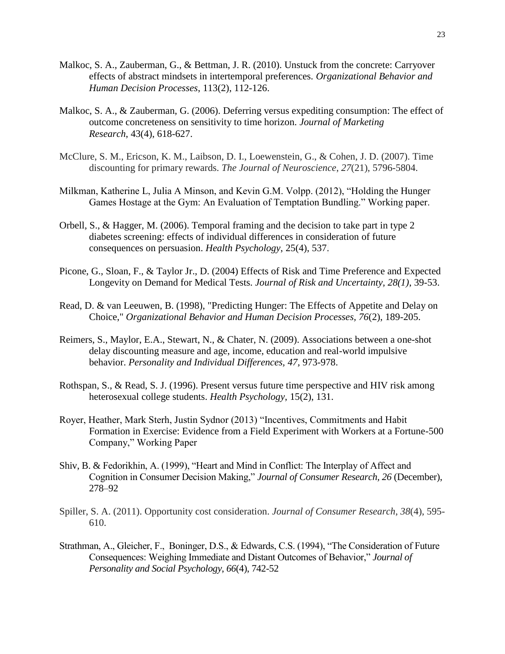- Malkoc, S. A., Zauberman, G., & Bettman, J. R. (2010). Unstuck from the concrete: Carryover effects of abstract mindsets in intertemporal preferences. *Organizational Behavior and Human Decision Processes*, 113(2), 112-126.
- Malkoc, S. A., & Zauberman, G. (2006). Deferring versus expediting consumption: The effect of outcome concreteness on sensitivity to time horizon. *Journal of Marketing Research*, 43(4), 618-627.
- McClure, S. M., Ericson, K. M., Laibson, D. I., Loewenstein, G., & Cohen, J. D. (2007). Time discounting for primary rewards. *The Journal of Neuroscience*, *27*(21), 5796-5804.
- Milkman, Katherine L, Julia A Minson, and Kevin G.M. Volpp. (2012), "Holding the Hunger Games Hostage at the Gym: An Evaluation of Temptation Bundling." Working paper.
- Orbell, S., & Hagger, M. (2006). Temporal framing and the decision to take part in type 2 diabetes screening: effects of individual differences in consideration of future consequences on persuasion. *Health Psychology*, 25(4), 537.
- Picone, G., Sloan, F., & Taylor Jr., D. (2004) Effects of Risk and Time Preference and Expected Longevity on Demand for Medical Tests. *Journal of Risk and Uncertainty, 28(1)*, 39-53.
- Read, D. & van Leeuwen, B. (1998), "Predicting Hunger: The Effects of Appetite and Delay on Choice," *Organizational Behavior and Human Decision Processes, 76*(2), 189-205.
- Reimers, S., Maylor, E.A., Stewart, N., & Chater, N. (2009). Associations between a one-shot delay discounting measure and age, income, education and real-world impulsive behavior. *Personality and Individual Differences, 47,* 973-978.
- Rothspan, S., & Read, S. J. (1996). Present versus future time perspective and HIV risk among heterosexual college students. *Health Psychology*, 15(2), 131.
- Royer, Heather, Mark Sterh, Justin Sydnor (2013) "Incentives, Commitments and Habit Formation in Exercise: Evidence from a Field Experiment with Workers at a Fortune-500 Company," Working Paper
- Shiv, B. & Fedorikhin, A. (1999), "Heart and Mind in Conflict: The Interplay of Affect and Cognition in Consumer Decision Making," *Journal of Consumer Research, 26* (December), 278–92
- Spiller, S. A. (2011). Opportunity cost consideration. *Journal of Consumer Research*, *38*(4), 595- 610.
- Strathman, A., Gleicher, F., Boninger, D.S., & Edwards, C.S. (1994), "The Consideration of Future Consequences: Weighing Immediate and Distant Outcomes of Behavior," *Journal of Personality and Social Psychology*, *66*(4), 742-52